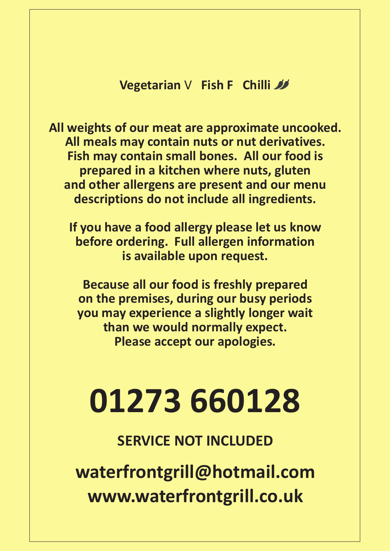### **Vegetarian** V **Fish F Chilli**

**All weights of our meat are approximate uncooked. All meals may contain nuts or nut derivatives. Fish may contain small bones. All our food is prepared in a kitchen where nuts, gluten and other allergens are present and our menu descriptions do not include all ingredients.**

**If you have a food allergy please let us know before ordering. Full allergen information is available upon request.**

**Because all our food is freshly prepared on the premises, during our busy periods you may experience a slightly longer wait than we would normally expect. Please accept our apologies.**

# **01273 660128**

**SERVICE NOT INCLUDED**

**waterfrontgrill@hotmail.com www.waterfrontgrill.co.uk**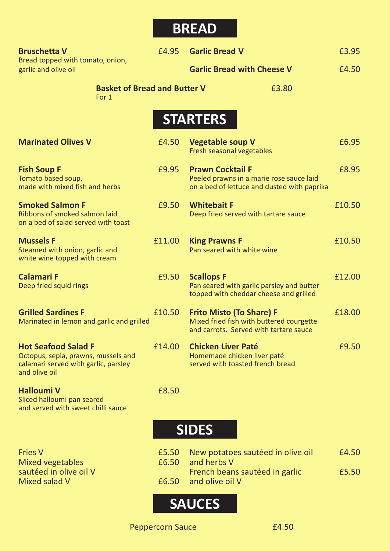## **BREAD**

| <b>Bruschetta V</b><br>Bread topped with tomato, onion,<br>garlic and olive oil                                            | £4.95  | <b>Garlic Bread V</b>                                                                                                 | £3.95  |
|----------------------------------------------------------------------------------------------------------------------------|--------|-----------------------------------------------------------------------------------------------------------------------|--------|
|                                                                                                                            |        | <b>Garlic Bread with Cheese V</b>                                                                                     | £4.50  |
| <b>Basket of Bread and Butter V</b><br>For 1                                                                               |        | £3.80                                                                                                                 |        |
|                                                                                                                            |        | <b>STARTERS</b>                                                                                                       |        |
| <b>Marinated Olives V</b>                                                                                                  | £4.50  | <b>Vegetable soup V</b><br>Fresh seasonal vegetables                                                                  | £6.95  |
| <b>Fish Soup F</b><br>Tomato based soup,<br>made with mixed fish and herbs                                                 | £9.95  | <b>Prawn Cocktail F</b><br>Peeled prawns in a marie rose sauce laid<br>on a bed of lettuce and dusted with paprika    | £8.95  |
| <b>Smoked Salmon F</b><br>Ribbons of smoked salmon laid<br>on a bed of salad served with toast                             | £9.50  | <b>Whitebait F</b><br>Deep fried served with tartare sauce                                                            | £10.50 |
| <b>Mussels F</b><br>Steamed with onion, garlic and<br>white wine topped with cream                                         | £11.00 | <b>King Prawns F</b><br>Pan seared with white wine                                                                    | £10.50 |
| <b>Calamari F</b><br>Deep fried squid rings                                                                                | £9.50  | <b>Scallops F</b><br>Pan seared with garlic parsley and butter<br>topped with cheddar cheese and grilled              | £12.00 |
| <b>Grilled Sardines F</b><br>Marinated in lemon and garlic and grilled                                                     | £10.50 | <b>Frito Misto (To Share) F</b><br>Mixed fried fish with buttered courgette<br>and carrots. Served with tartare sauce | £18.00 |
| <b>Hot Seafood Salad F</b><br>Octopus, sepia, prawns, mussels and<br>calamari served with garlic, parsley<br>and olive oil | £14.00 | <b>Chicken Liver Paté</b><br>Homemade chicken liver paté<br>served with toasted french bread                          | £9.50  |
| <b>Halloumi V</b><br>Sliced halloumi pan seared<br>and served with sweet chilli sauce                                      | £8.50  |                                                                                                                       |        |

## **SIDES**

| <b>Fries V</b>          | E5.50 New potatoes sautéed in olive oil | £4.50 |
|-------------------------|-----------------------------------------|-------|
| <b>Mixed vegetables</b> | £6.50 and herbs V                       |       |
| sautéed in olive oil V  | French beans sautéed in garlic          | £5.50 |
| Mixed salad V           | <b>E6.50</b> and olive oil V            |       |



Peppercorn Sauce **E4.50**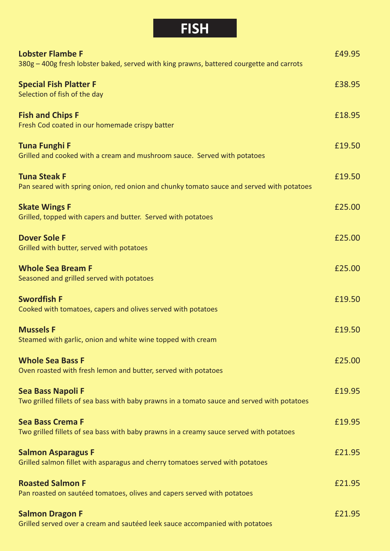## **FISH**

| <b>Lobster Flambe F</b><br>380g - 400g fresh lobster baked, served with king prawns, battered courgette and carrots     | £49.95 |
|-------------------------------------------------------------------------------------------------------------------------|--------|
| <b>Special Fish Platter F</b><br>Selection of fish of the day                                                           | £38.95 |
| <b>Fish and Chips F</b><br>Fresh Cod coated in our homemade crispy batter                                               | £18.95 |
| <b>Tuna Funghi F</b><br>Grilled and cooked with a cream and mushroom sauce. Served with potatoes                        | £19.50 |
| <b>Tuna Steak F</b><br>Pan seared with spring onion, red onion and chunky tomato sauce and served with potatoes         | £19.50 |
| <b>Skate Wings F</b><br>Grilled, topped with capers and butter. Served with potatoes                                    | £25.00 |
| <b>Dover Sole F</b><br>Grilled with butter, served with potatoes                                                        | £25.00 |
| <b>Whole Sea Bream F</b><br>Seasoned and grilled served with potatoes                                                   | £25.00 |
| <b>Swordfish F</b><br>Cooked with tomatoes, capers and olives served with potatoes                                      | £19.50 |
| <b>Mussels F</b><br>Steamed with garlic, onion and white wine topped with cream                                         | £19.50 |
| <b>Whole Sea Bass F</b><br>Oven roasted with fresh lemon and butter, served with potatoes                               | £25.00 |
| <b>Sea Bass Napoli F</b><br>Two grilled fillets of sea bass with baby prawns in a tomato sauce and served with potatoes | £19.95 |
| <b>Sea Bass Crema F</b><br>Two grilled fillets of sea bass with baby prawns in a creamy sauce served with potatoes      | £19.95 |
| <b>Salmon Asparagus F</b><br>Grilled salmon fillet with asparagus and cherry tomatoes served with potatoes              | £21.95 |
| <b>Roasted Salmon F</b><br>Pan roasted on sautéed tomatoes, olives and capers served with potatoes                      | £21.95 |
| <b>Salmon Dragon F</b><br>Grilled served over a cream and sautéed leek sauce accompanied with potatoes                  | £21.95 |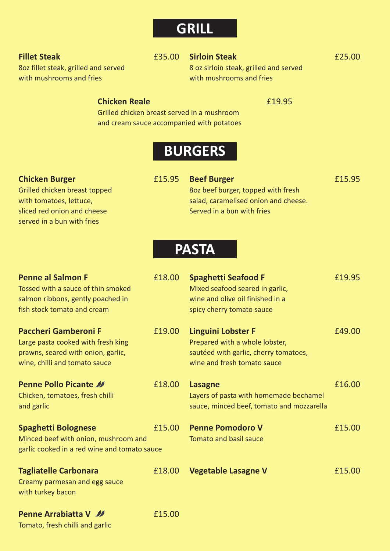## **GRILL**

#### **Fillet Steak** £35.00 **Sirloin Steak** £25.00

8oz fillet steak, grilled and served 8 oz sirloin steak, grilled and served with mushrooms and fries with mushrooms and fries

### **Chicken Reale E19.95**

Grilled chicken breast served in a mushroom and cream sauce accompanied with potatoes

## **BURGERS**

#### **Chicken Burger E15.95 Beef Burger E15.95 Beef Burger**

sliced red onion and cheese Served in a bun with fries served in a bun with fries

Grilled chicken breast topped 8oz beef burger, topped with fresh with tomatoes, lettuce, salad, caramelised onion and cheese.

## **PASTA**

| <b>Penne al Salmon F</b><br>Tossed with a sauce of thin smoked<br>salmon ribbons, gently poached in<br>fish stock tomato and cream       | £18.00 | <b>Spaghetti Seafood F</b><br>Mixed seafood seared in garlic,<br>wine and olive oil finished in a<br>spicy cherry tomato sauce      | £19.95 |
|------------------------------------------------------------------------------------------------------------------------------------------|--------|-------------------------------------------------------------------------------------------------------------------------------------|--------|
| <b>Paccheri Gamberoni F</b><br>Large pasta cooked with fresh king<br>prawns, seared with onion, garlic,<br>wine, chilli and tomato sauce | £19.00 | <b>Linguini Lobster F</b><br>Prepared with a whole lobster,<br>sautéed with garlic, cherry tomatoes,<br>wine and fresh tomato sauce | £49.00 |
| <b>Penne Pollo Picante 33</b><br>Chicken, tomatoes, fresh chilli<br>and garlic                                                           | £18.00 | <b>Lasagne</b><br>Layers of pasta with homemade bechamel<br>sauce, minced beef, tomato and mozzarella                               | £16.00 |
| <b>Spaghetti Bolognese</b><br>Minced beef with onion, mushroom and<br>garlic cooked in a red wine and tomato sauce                       | £15.00 | <b>Penne Pomodoro V</b><br><b>Tomato and basil sauce</b>                                                                            | £15.00 |
| <b>Tagliatelle Carbonara</b><br>Creamy parmesan and egg sauce<br>with turkey bacon                                                       | £18.00 | <b>Vegetable Lasagne V</b>                                                                                                          | £15.00 |
| <b>Penne Arrabiatta V</b><br>Tomato, fresh chilli and garlic                                                                             | £15.00 |                                                                                                                                     |        |